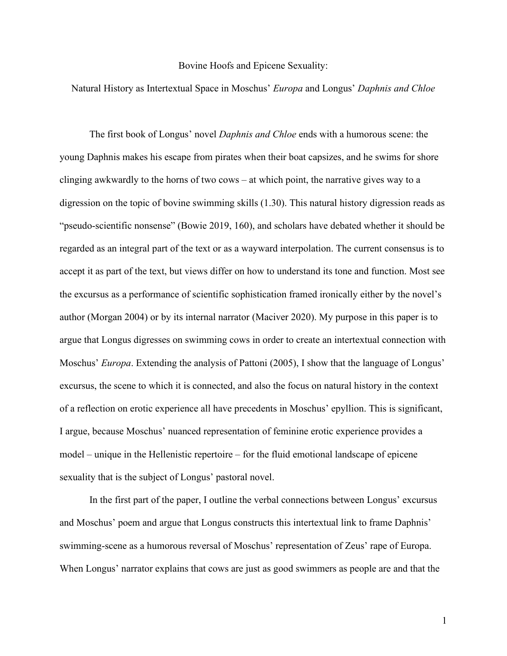## Bovine Hoofs and Epicene Sexuality:

## Natural History as Intertextual Space in Moschus' *Europa* and Longus' *Daphnis and Chloe*

The first book of Longus' novel *Daphnis and Chloe* ends with a humorous scene: the young Daphnis makes his escape from pirates when their boat capsizes, and he swims for shore clinging awkwardly to the horns of two cows – at which point, the narrative gives way to a digression on the topic of bovine swimming skills (1.30). This natural history digression reads as "pseudo-scientific nonsense" (Bowie 2019, 160), and scholars have debated whether it should be regarded as an integral part of the text or as a wayward interpolation. The current consensus is to accept it as part of the text, but views differ on how to understand its tone and function. Most see the excursus as a performance of scientific sophistication framed ironically either by the novel's author (Morgan 2004) or by its internal narrator (Maciver 2020). My purpose in this paper is to argue that Longus digresses on swimming cows in order to create an intertextual connection with Moschus' *Europa*. Extending the analysis of Pattoni (2005), I show that the language of Longus' excursus, the scene to which it is connected, and also the focus on natural history in the context of a reflection on erotic experience all have precedents in Moschus' epyllion. This is significant, I argue, because Moschus' nuanced representation of feminine erotic experience provides a model – unique in the Hellenistic repertoire – for the fluid emotional landscape of epicene sexuality that is the subject of Longus' pastoral novel.

In the first part of the paper, I outline the verbal connections between Longus' excursus and Moschus' poem and argue that Longus constructs this intertextual link to frame Daphnis' swimming-scene as a humorous reversal of Moschus' representation of Zeus' rape of Europa. When Longus' narrator explains that cows are just as good swimmers as people are and that the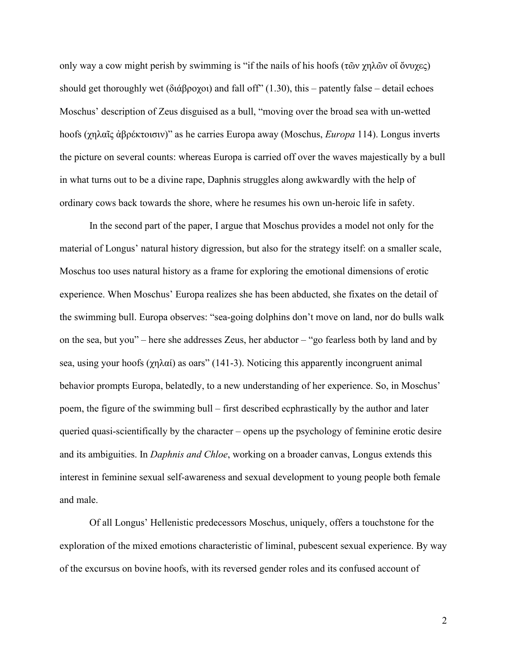only way a cow might perish by swimming is "if the nails of his hoofs (τῶν χηλῶν οἵ ὄνυχες) should get thoroughly wet (διάβροχοι) and fall off" (1.30), this – patently false – detail echoes Moschus' description of Zeus disguised as a bull, "moving over the broad sea with un-wetted hoofs (χηλαῖς ἀβρέκτοισιν)" as he carries Europa away (Moschus, *Europa* 114). Longus inverts the picture on several counts: whereas Europa is carried off over the waves majestically by a bull in what turns out to be a divine rape, Daphnis struggles along awkwardly with the help of ordinary cows back towards the shore, where he resumes his own un-heroic life in safety.

In the second part of the paper, I argue that Moschus provides a model not only for the material of Longus' natural history digression, but also for the strategy itself: on a smaller scale, Moschus too uses natural history as a frame for exploring the emotional dimensions of erotic experience. When Moschus' Europa realizes she has been abducted, she fixates on the detail of the swimming bull. Europa observes: "sea-going dolphins don't move on land, nor do bulls walk on the sea, but you" – here she addresses Zeus, her abductor – "go fearless both by land and by sea, using your hoofs ( $\chi \eta \lambda \alpha i$ ) as oars" (141-3). Noticing this apparently incongruent animal behavior prompts Europa, belatedly, to a new understanding of her experience. So, in Moschus' poem, the figure of the swimming bull – first described ecphrastically by the author and later queried quasi-scientifically by the character – opens up the psychology of feminine erotic desire and its ambiguities. In *Daphnis and Chloe*, working on a broader canvas, Longus extends this interest in feminine sexual self-awareness and sexual development to young people both female and male.

Of all Longus' Hellenistic predecessors Moschus, uniquely, offers a touchstone for the exploration of the mixed emotions characteristic of liminal, pubescent sexual experience. By way of the excursus on bovine hoofs, with its reversed gender roles and its confused account of

2